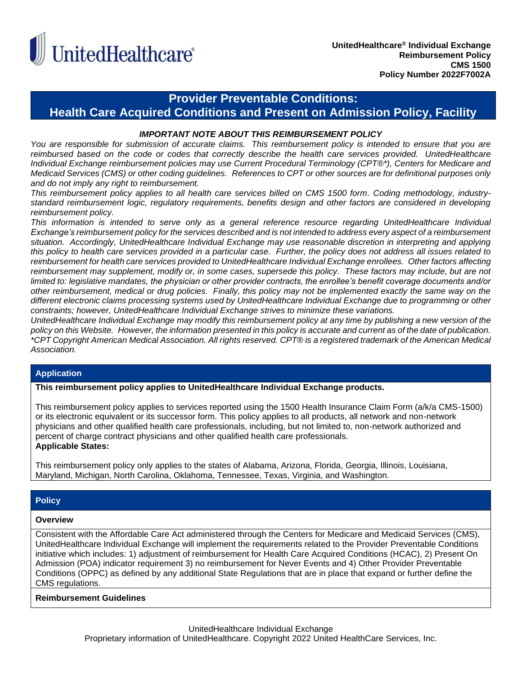

# **Provider Preventable Conditions:**

**Health Care Acquired Conditions and Present on Admission Policy, Facility**

## *IMPORTANT NOTE ABOUT THIS REIMBURSEMENT POLICY*

*You are responsible for submission of accurate claims. This reimbursement policy is intended to ensure that you are reimbursed based on the code or codes that correctly describe the health care services provided. UnitedHealthcare Individual Exchange reimbursement policies may use Current Procedural Terminology (CPT®\*), Centers for Medicare and Medicaid Services (CMS) or other coding guidelines. References to CPT or other sources are for definitional purposes only and do not imply any right to reimbursement.*

*This reimbursement policy applies to all health care services billed on CMS 1500 form. Coding methodology, industrystandard reimbursement logic, regulatory requirements, benefits design and other factors are considered in developing reimbursement policy.*

*This information is intended to serve only as a general reference resource regarding UnitedHealthcare Individual Exchange's reimbursement policy for the services described and is not intended to address every aspect of a reimbursement situation. Accordingly, UnitedHealthcare Individual Exchange may use reasonable discretion in interpreting and applying this policy to health care services provided in a particular case. Further, the policy does not address all issues related to reimbursement for health care services provided to UnitedHealthcare Individual Exchange enrollees. Other factors affecting reimbursement may supplement, modify or, in some cases, supersede this policy. These factors may include, but are not limited to: legislative mandates, the physician or other provider contracts, the enrollee's benefit coverage documents and/or other reimbursement, medical or drug policies. Finally, this policy may not be implemented exactly the same way on the different electronic claims processing systems used by UnitedHealthcare Individual Exchange due to programming or other constraints; however, UnitedHealthcare Individual Exchange strives to minimize these variations.*

*UnitedHealthcare Individual Exchange may modify this reimbursement policy at any time by publishing a new version of the policy on this Website. However, the information presented in this policy is accurate and current as of the date of publication. \*CPT Copyright American Medical Association. All rights reserved. CPT® is a registered trademark of the American Medical Association.*

# **Application**

**This reimbursement policy applies to UnitedHealthcare Individual Exchange products.**

This reimbursement policy applies to services reported using the 1500 Health Insurance Claim Form (a/k/a CMS-1500) or its electronic equivalent or its successor form. This policy applies to all products, all network and non-network physicians and other qualified health care professionals, including, but not limited to, non-network authorized and percent of charge contract physicians and other qualified health care professionals. **Applicable States:**

This reimbursement policy only applies to the states of Alabama, Arizona, Florida, Georgia, Illinois, Louisiana, Maryland, Michigan, North Carolina, Oklahoma, Tennessee, Texas, Virginia, and Washington.

# **Policy**

### **Overview**

Consistent with the Affordable Care Act administered through the Centers for Medicare and Medicaid Services (CMS), UnitedHealthcare Individual Exchange will implement the requirements related to the Provider Preventable Conditions initiative which includes: 1) adjustment of reimbursement for Health Care Acquired Conditions (HCAC), 2) Present On Admission (POA) indicator requirement 3) no reimbursement for Never Events and 4) Other Provider Preventable Conditions (OPPC) as defined by any additional State Regulations that are in place that expand or further define the CMS regulations.

### **Reimbursement Guidelines**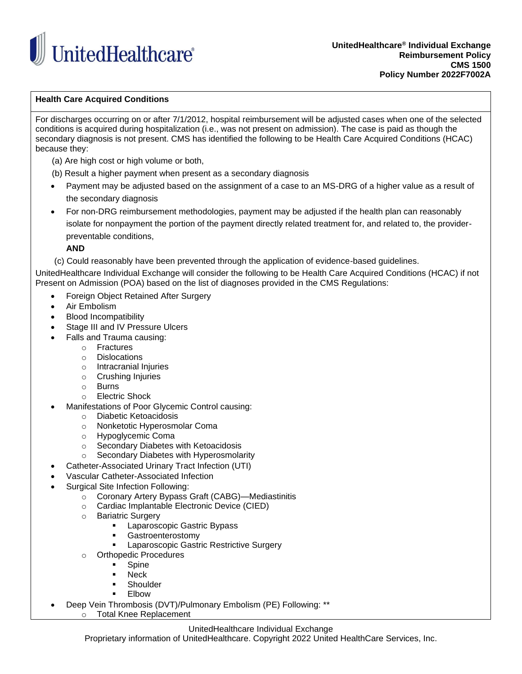

**UnitedHealthcare® Individual Exchange Reimbursement Policy CMS 1500 Policy Number 2022F7002A**

## **Health Care Acquired Conditions**

For discharges occurring on or after 7/1/2012, hospital reimbursement will be adjusted cases when one of the selected conditions is acquired during hospitalization (i.e., was not present on admission). The case is paid as though the secondary diagnosis is not present. CMS has identified the following to be Health Care Acquired Conditions (HCAC) because they:

- (a) Are high cost or high volume or both,
- (b) Result a higher payment when present as a secondary diagnosis
- Payment may be adjusted based on the assignment of a case to an MS-DRG of a higher value as a result of the secondary diagnosis
- For non-DRG reimbursement methodologies, payment may be adjusted if the health plan can reasonably isolate for nonpayment the portion of the payment directly related treatment for, and related to, the provider preventable conditions,

**AND**

(c) Could reasonably have been prevented through the application of evidence-based guidelines.

UnitedHealthcare Individual Exchange will consider the following to be Health Care Acquired Conditions (HCAC) if not Present on Admission (POA) based on the list of diagnoses provided in the CMS Regulations:

- Foreign Object Retained After Surgery
- Air Embolism
- Blood Incompatibility
- Stage III and IV Pressure Ulcers
- Falls and Trauma causing:
	- o Fractures
	- o Dislocations
	- o Intracranial Injuries
	- o Crushing Injuries
	- o Burns
	- o Electric Shock
- Manifestations of Poor Glycemic Control causing:
	- o Diabetic Ketoacidosis
	- o Nonketotic Hyperosmolar Coma
	- o Hypoglycemic Coma
	- o Secondary Diabetes with Ketoacidosis
	- o Secondary Diabetes with Hyperosmolarity
- Catheter-Associated Urinary Tract Infection (UTI)
- Vascular Catheter-Associated Infection
- Surgical Site Infection Following:
	- o Coronary Artery Bypass Graft (CABG)—Mediastinitis
	- o Cardiac Implantable Electronic Device (CIED)
	- o Bariatric Surgery
		- Laparoscopic Gastric Bypass
		- **Gastroenterostomy**
		- **EXEC** Laparoscopic Gastric Restrictive Surgery
	- o Orthopedic Procedures
		- **Spine**
		- **Neck**
		- **Shoulder**
		- **Flbow**
- Deep Vein Thrombosis (DVT)/Pulmonary Embolism (PE) Following: \*\*
	- o Total Knee Replacement

### UnitedHealthcare Individual Exchange

Proprietary information of UnitedHealthcare. Copyright 2022 United HealthCare Services, Inc.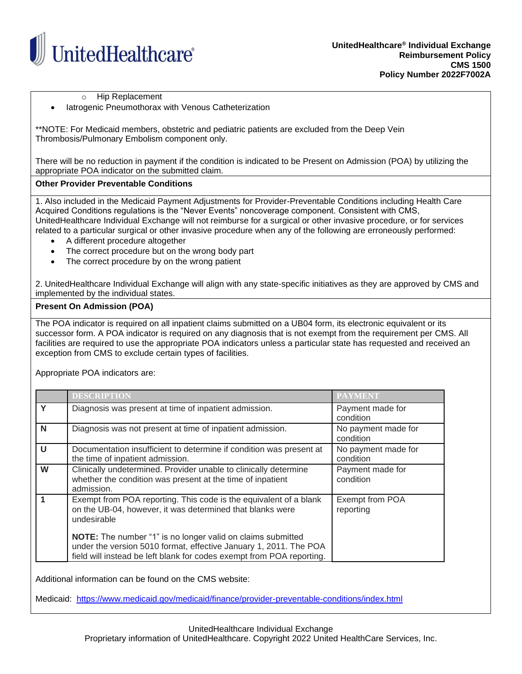

o Hip Replacement

latrogenic Pneumothorax with Venous Catheterization

\*\*NOTE: For Medicaid members, obstetric and pediatric patients are excluded from the Deep Vein Thrombosis/Pulmonary Embolism component only.

There will be no reduction in payment if the condition is indicated to be Present on Admission (POA) by utilizing the appropriate POA indicator on the submitted claim.

# **Other Provider Preventable Conditions**

1. Also included in the Medicaid Payment Adjustments for Provider-Preventable Conditions including Health Care Acquired Conditions regulations is the "Never Events" noncoverage component. Consistent with CMS, UnitedHealthcare Individual Exchange will not reimburse for a surgical or other invasive procedure, or for services related to a particular surgical or other invasive procedure when any of the following are erroneously performed:

- A different procedure altogether
- The correct procedure but on the wrong body part
- The correct procedure by on the wrong patient

2. UnitedHealthcare Individual Exchange will align with any state-specific initiatives as they are approved by CMS and implemented by the individual states.

### **Present On Admission (POA)**

The POA indicator is required on all inpatient claims submitted on a UB04 form, its electronic equivalent or its successor form. A POA indicator is required on any diagnosis that is not exempt from the requirement per CMS. All facilities are required to use the appropriate POA indicators unless a particular state has requested and received an exception from CMS to exclude certain types of facilities.

Appropriate POA indicators are:

|   | <b>DESCRIPTION</b>                                                                                                                                                                                               | <b>PAYMENT</b>                   |
|---|------------------------------------------------------------------------------------------------------------------------------------------------------------------------------------------------------------------|----------------------------------|
| Y | Diagnosis was present at time of inpatient admission.                                                                                                                                                            | Payment made for<br>condition    |
| N | Diagnosis was not present at time of inpatient admission.                                                                                                                                                        | No payment made for<br>condition |
| U | Documentation insufficient to determine if condition was present at<br>the time of inpatient admission.                                                                                                          | No payment made for<br>condition |
| W | Clinically undetermined. Provider unable to clinically determine<br>whether the condition was present at the time of inpatient<br>admission.                                                                     | Payment made for<br>condition    |
|   | Exempt from POA reporting. This code is the equivalent of a blank<br>on the UB-04, however, it was determined that blanks were<br>undesirable                                                                    | Exempt from POA<br>reporting     |
|   | <b>NOTE:</b> The number "1" is no longer valid on claims submitted<br>under the version 5010 format, effective January 1, 2011. The POA<br>field will instead be left blank for codes exempt from POA reporting. |                                  |

Additional information can be found on the CMS website:

Medicaid: <https://www.medicaid.gov/medicaid/finance/provider-preventable-conditions/index.html>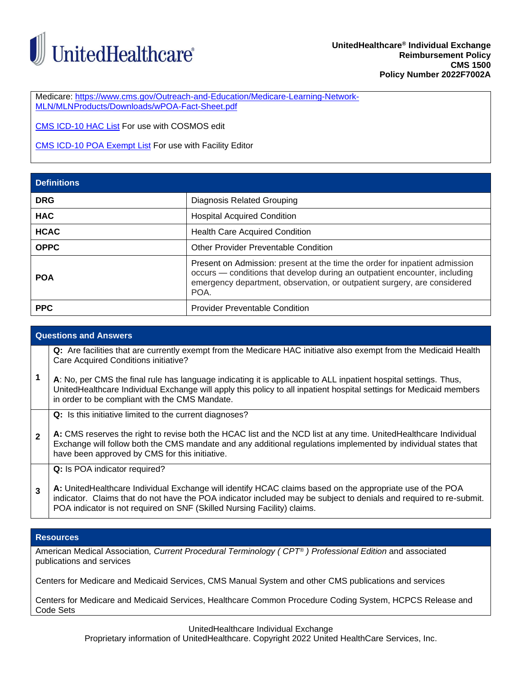

Medicare: [https://www.cms.gov/Outreach-and-Education/Medicare-Learning-Network-](https://www.cms.gov/Outreach-and-Education/Medicare-Learning-Network-MLN/MLNProducts/Downloads/wPOA-Fact-Sheet.pdf)[MLN/MLNProducts/Downloads/wPOA-Fact-Sheet.pdf](https://www.cms.gov/Outreach-and-Education/Medicare-Learning-Network-MLN/MLNProducts/Downloads/wPOA-Fact-Sheet.pdf)

[CMS ICD-10 HAC List](https://www.cms.gov/Medicare/Medicare-Fee-for-Service-Payment/HospitalAcqCond/icd10_hacs) For use with COSMOS edit

[CMS ICD-10 POA Exempt List](https://www.cms.gov/Medicare/Medicare-Fee-for-Service-Payment/HospitalAcqCond/Coding) For use with Facility Editor

| <b>Definitions</b> |                                                                                                                                                                                                                                               |  |
|--------------------|-----------------------------------------------------------------------------------------------------------------------------------------------------------------------------------------------------------------------------------------------|--|
| <b>DRG</b>         | Diagnosis Related Grouping                                                                                                                                                                                                                    |  |
| <b>HAC</b>         | <b>Hospital Acquired Condition</b>                                                                                                                                                                                                            |  |
| <b>HCAC</b>        | <b>Health Care Acquired Condition</b>                                                                                                                                                                                                         |  |
| <b>OPPC</b>        | <b>Other Provider Preventable Condition</b>                                                                                                                                                                                                   |  |
| <b>POA</b>         | Present on Admission: present at the time the order for inpatient admission<br>occurs - conditions that develop during an outpatient encounter, including<br>emergency department, observation, or outpatient surgery, are considered<br>POA. |  |
| <b>PPC</b>         | <b>Provider Preventable Condition</b>                                                                                                                                                                                                         |  |

# **Questions and Answers 1 Q:** Are facilities that are currently exempt from the Medicare HAC initiative also exempt from the Medicaid Health Care Acquired Conditions initiative? **A**: No, per CMS the final rule has language indicating it is applicable to ALL inpatient hospital settings. Thus, UnitedHealthcare Individual Exchange will apply this policy to all inpatient hospital settings for Medicaid members in order to be compliant with the CMS Mandate. **2 Q:** Is this initiative limited to the current diagnoses? **A:** CMS reserves the right to revise both the HCAC list and the NCD list at any time. UnitedHealthcare Individual Exchange will follow both the CMS mandate and any additional regulations implemented by individual states that have been approved by CMS for this initiative. **3 Q:** Is POA indicator required? **A:** UnitedHealthcare Individual Exchange will identify HCAC claims based on the appropriate use of the POA indicator. Claims that do not have the POA indicator included may be subject to denials and required to re-submit. POA indicator is not required on SNF (Skilled Nursing Facility) claims.

### **Resources**

American Medical Association*, Current Procedural Terminology ( CPT® ) Professional Edition* and associated publications and services

Centers for Medicare and Medicaid Services, CMS Manual System and other CMS publications and services

Centers for Medicare and Medicaid Services, Healthcare Common Procedure Coding System, HCPCS Release and Code Sets